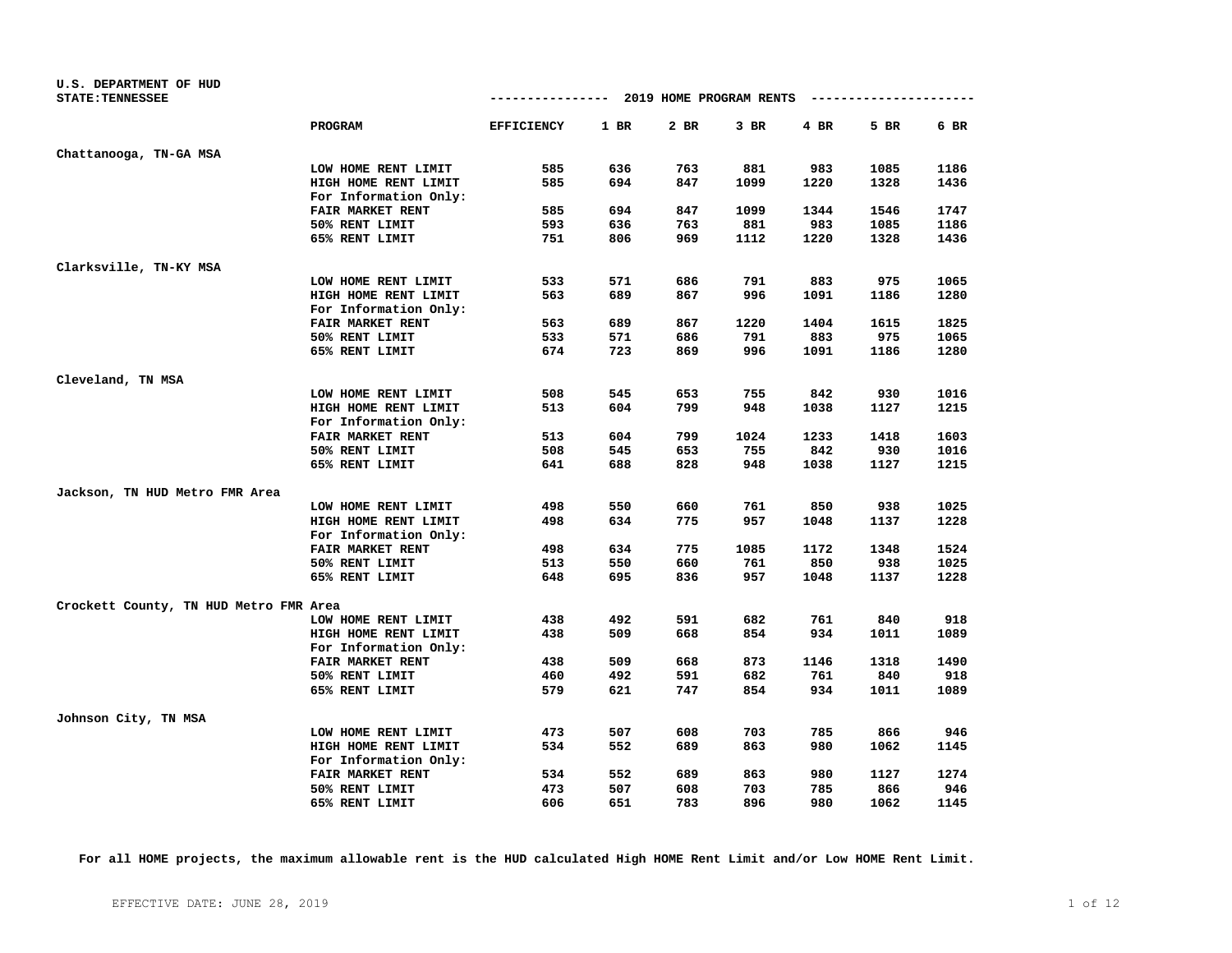| U.S. DEPARTMENT OF HUD<br><b>STATE: TENNESSEE</b> |                         | -------------- 2019 HOME PROGRAM RENTS |      |      |        |      | ---------------------- |      |
|---------------------------------------------------|-------------------------|----------------------------------------|------|------|--------|------|------------------------|------|
|                                                   |                         |                                        |      |      |        |      |                        |      |
|                                                   | <b>PROGRAM</b>          | <b>EFFICIENCY</b>                      | 1 BR | 2 BR | $3$ BR | 4 BR | 5 BR                   | 6 BR |
| Chattanooga, TN-GA MSA                            |                         |                                        |      |      |        |      |                        |      |
|                                                   | LOW HOME RENT LIMIT     | 585                                    | 636  | 763  | 881    | 983  | 1085                   | 1186 |
|                                                   | HIGH HOME RENT LIMIT    | 585                                    | 694  | 847  | 1099   | 1220 | 1328                   | 1436 |
|                                                   | For Information Only:   |                                        |      |      |        |      |                        |      |
|                                                   | FAIR MARKET RENT        | 585                                    | 694  | 847  | 1099   | 1344 | 1546                   | 1747 |
|                                                   | 50% RENT LIMIT          | 593                                    | 636  | 763  | 881    | 983  | 1085                   | 1186 |
|                                                   | 65% RENT LIMIT          | 751                                    | 806  | 969  | 1112   | 1220 | 1328                   | 1436 |
| Clarksville, TN-KY MSA                            |                         |                                        |      |      |        |      |                        |      |
|                                                   | LOW HOME RENT LIMIT     | 533                                    | 571  | 686  | 791    | 883  | 975                    | 1065 |
|                                                   | HIGH HOME RENT LIMIT    | 563                                    | 689  | 867  | 996    | 1091 | 1186                   | 1280 |
|                                                   | For Information Only:   |                                        |      |      |        |      |                        |      |
|                                                   | FAIR MARKET RENT        | 563                                    | 689  | 867  | 1220   | 1404 | 1615                   | 1825 |
|                                                   | 50% RENT LIMIT          | 533                                    | 571  | 686  | 791    | 883  | 975                    | 1065 |
|                                                   | 65% RENT LIMIT          | 674                                    | 723  | 869  | 996    | 1091 | 1186                   | 1280 |
| Cleveland, TN MSA                                 |                         |                                        |      |      |        |      |                        |      |
|                                                   | LOW HOME RENT LIMIT     | 508                                    | 545  | 653  | 755    | 842  | 930                    | 1016 |
|                                                   | HIGH HOME RENT LIMIT    | 513                                    | 604  | 799  | 948    | 1038 | 1127                   | 1215 |
|                                                   | For Information Only:   |                                        |      |      |        |      |                        |      |
|                                                   | <b>FAIR MARKET RENT</b> | 513                                    | 604  | 799  | 1024   | 1233 | 1418                   | 1603 |
|                                                   | 50% RENT LIMIT          | 508                                    | 545  | 653  | 755    | 842  | 930                    | 1016 |
|                                                   | 65% RENT LIMIT          | 641                                    | 688  | 828  | 948    | 1038 | 1127                   | 1215 |
| Jackson, TN HUD Metro FMR Area                    |                         |                                        |      |      |        |      |                        |      |
|                                                   | LOW HOME RENT LIMIT     | 498                                    | 550  | 660  | 761    | 850  | 938                    | 1025 |
|                                                   | HIGH HOME RENT LIMIT    | 498                                    | 634  | 775  | 957    | 1048 | 1137                   | 1228 |
|                                                   | For Information Only:   |                                        |      |      |        |      |                        |      |
|                                                   | <b>FAIR MARKET RENT</b> | 498                                    | 634  | 775  | 1085   | 1172 | 1348                   | 1524 |
|                                                   | 50% RENT LIMIT          | 513                                    | 550  | 660  | 761    | 850  | 938                    | 1025 |
|                                                   | 65% RENT LIMIT          | 648                                    | 695  | 836  | 957    | 1048 | 1137                   | 1228 |
| Crockett County, TN HUD Metro FMR Area            |                         |                                        |      |      |        |      |                        |      |
|                                                   | LOW HOME RENT LIMIT     | 438                                    | 492  | 591  | 682    | 761  | 840                    | 918  |
|                                                   | HIGH HOME RENT LIMIT    | 438                                    | 509  | 668  | 854    | 934  | 1011                   | 1089 |
|                                                   | For Information Only:   |                                        |      |      |        |      |                        |      |
|                                                   | FAIR MARKET RENT        | 438                                    | 509  | 668  | 873    | 1146 | 1318                   | 1490 |
|                                                   | 50% RENT LIMIT          | 460                                    | 492  | 591  | 682    | 761  | 840                    | 918  |
|                                                   | 65% RENT LIMIT          | 579                                    | 621  | 747  | 854    | 934  | 1011                   | 1089 |
| Johnson City, TN MSA                              |                         |                                        |      |      |        |      |                        |      |
|                                                   | LOW HOME RENT LIMIT     | 473                                    | 507  | 608  | 703    | 785  | 866                    | 946  |
|                                                   | HIGH HOME RENT LIMIT    | 534                                    | 552  | 689  | 863    | 980  | 1062                   | 1145 |
|                                                   | For Information Only:   |                                        |      |      |        |      |                        |      |
|                                                   | FAIR MARKET RENT        | 534                                    | 552  | 689  | 863    | 980  | 1127                   | 1274 |
|                                                   | 50% RENT LIMIT          | 473                                    | 507  | 608  | 703    | 785  | 866                    | 946  |
|                                                   | 65% RENT LIMIT          | 606                                    | 651  | 783  | 896    | 980  | 1062                   | 1145 |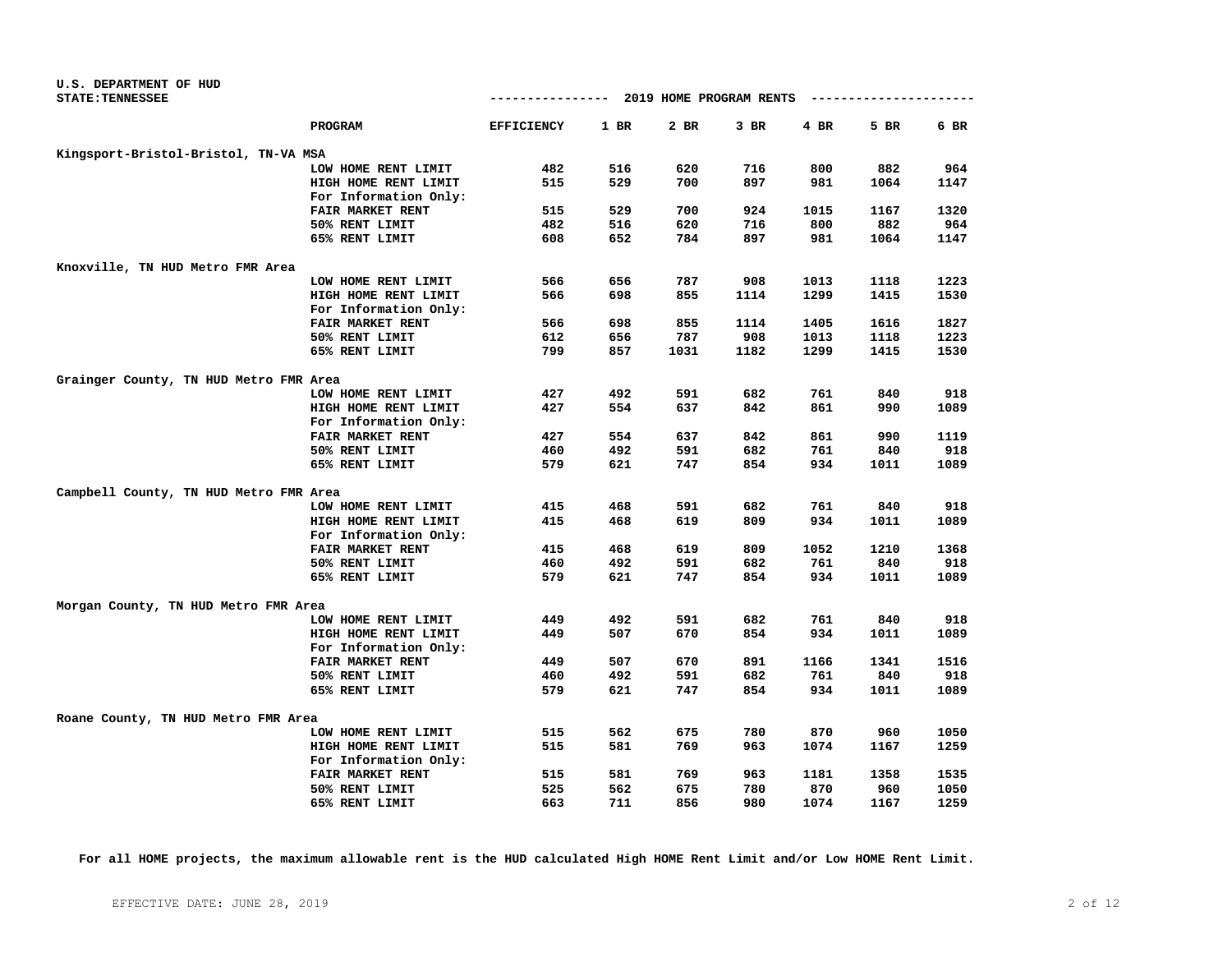| U.S. DEPARTMENT OF HUD                 |                       |                   |        |                         |      |           |      |      |
|----------------------------------------|-----------------------|-------------------|--------|-------------------------|------|-----------|------|------|
| <b>STATE: TENNESSEE</b>                |                       | -------------     |        | 2019 HOME PROGRAM RENTS |      | --------- |      |      |
|                                        | PROGRAM               | <b>EFFICIENCY</b> | $1$ BR | $2$ BR                  | 3 BR | 4 BR      | 5 BR | 6 BR |
| Kingsport-Bristol-Bristol, TN-VA MSA   |                       |                   |        |                         |      |           |      |      |
|                                        | LOW HOME RENT LIMIT   | 482               | 516    | 620                     | 716  | 800       | 882  | 964  |
|                                        | HIGH HOME RENT LIMIT  | 515               | 529    | 700                     | 897  | 981       | 1064 | 1147 |
|                                        | For Information Only: |                   |        |                         |      |           |      |      |
|                                        | FAIR MARKET RENT      | 515               | 529    | 700                     | 924  | 1015      | 1167 | 1320 |
|                                        | 50% RENT LIMIT        | 482               | 516    | 620                     | 716  | 800       | 882  | 964  |
|                                        | 65% RENT LIMIT        | 608               | 652    | 784                     | 897  | 981       | 1064 | 1147 |
| Knoxville, TN HUD Metro FMR Area       |                       |                   |        |                         |      |           |      |      |
|                                        | LOW HOME RENT LIMIT   | 566               | 656    | 787                     | 908  | 1013      | 1118 | 1223 |
|                                        | HIGH HOME RENT LIMIT  | 566               | 698    | 855                     | 1114 | 1299      | 1415 | 1530 |
|                                        | For Information Only: |                   |        |                         |      |           |      |      |
|                                        | FAIR MARKET RENT      | 566               | 698    | 855                     | 1114 | 1405      | 1616 | 1827 |
|                                        | 50% RENT LIMIT        | 612               | 656    | 787                     | 908  | 1013      | 1118 | 1223 |
|                                        | 65% RENT LIMIT        | 799               | 857    | 1031                    | 1182 | 1299      | 1415 | 1530 |
|                                        |                       |                   |        |                         |      |           |      |      |
| Grainger County, TN HUD Metro FMR Area |                       |                   |        |                         |      |           |      |      |
|                                        | LOW HOME RENT LIMIT   | 427               | 492    | 591                     | 682  | 761       | 840  | 918  |
|                                        | HIGH HOME RENT LIMIT  | 427               | 554    | 637                     | 842  | 861       | 990  | 1089 |
|                                        | For Information Only: |                   |        |                         |      |           |      |      |
|                                        | FAIR MARKET RENT      | 427               | 554    | 637                     | 842  | 861       | 990  | 1119 |
|                                        | 50% RENT LIMIT        | 460               | 492    | 591                     | 682  | 761       | 840  | 918  |
|                                        | 65% RENT LIMIT        | 579               | 621    | 747                     | 854  | 934       | 1011 | 1089 |
| Campbell County, TN HUD Metro FMR Area |                       |                   |        |                         |      |           |      |      |
|                                        | LOW HOME RENT LIMIT   | 415               | 468    | 591                     | 682  | 761       | 840  | 918  |
|                                        | HIGH HOME RENT LIMIT  | 415               | 468    | 619                     | 809  | 934       | 1011 | 1089 |
|                                        | For Information Only: |                   |        |                         |      |           |      |      |
|                                        | FAIR MARKET RENT      | 415               | 468    | 619                     | 809  | 1052      | 1210 | 1368 |
|                                        | 50% RENT LIMIT        | 460               | 492    | 591                     | 682  | 761       | 840  | 918  |
|                                        | 65% RENT LIMIT        | 579               | 621    | 747                     | 854  | 934       | 1011 | 1089 |
| Morgan County, TN HUD Metro FMR Area   |                       |                   |        |                         |      |           |      |      |
|                                        | LOW HOME RENT LIMIT   | 449               | 492    | 591                     | 682  | 761       | 840  | 918  |
|                                        | HIGH HOME RENT LIMIT  | 449               | 507    | 670                     | 854  | 934       | 1011 | 1089 |
|                                        | For Information Only: |                   |        |                         |      |           |      |      |
|                                        | FAIR MARKET RENT      | 449               | 507    | 670                     | 891  | 1166      | 1341 | 1516 |
|                                        | 50% RENT LIMIT        | 460               | 492    | 591                     | 682  | 761       | 840  | 918  |
|                                        | 65% RENT LIMIT        | 579               | 621    | 747                     | 854  | 934       | 1011 | 1089 |
|                                        |                       |                   |        |                         |      |           |      |      |
| Roane County, TN HUD Metro FMR Area    |                       |                   |        |                         |      |           |      |      |
|                                        | LOW HOME RENT LIMIT   | 515               | 562    | 675                     | 780  | 870       | 960  | 1050 |
|                                        | HIGH HOME RENT LIMIT  | 515               | 581    | 769                     | 963  | 1074      | 1167 | 1259 |
|                                        | For Information Only: |                   |        |                         |      |           |      |      |
|                                        | FAIR MARKET RENT      | 515               | 581    | 769                     | 963  | 1181      | 1358 | 1535 |
|                                        | 50% RENT LIMIT        | 525               | 562    | 675                     | 780  | 870       | 960  | 1050 |
|                                        | 65% RENT LIMIT        | 663               | 711    | 856                     | 980  | 1074      | 1167 | 1259 |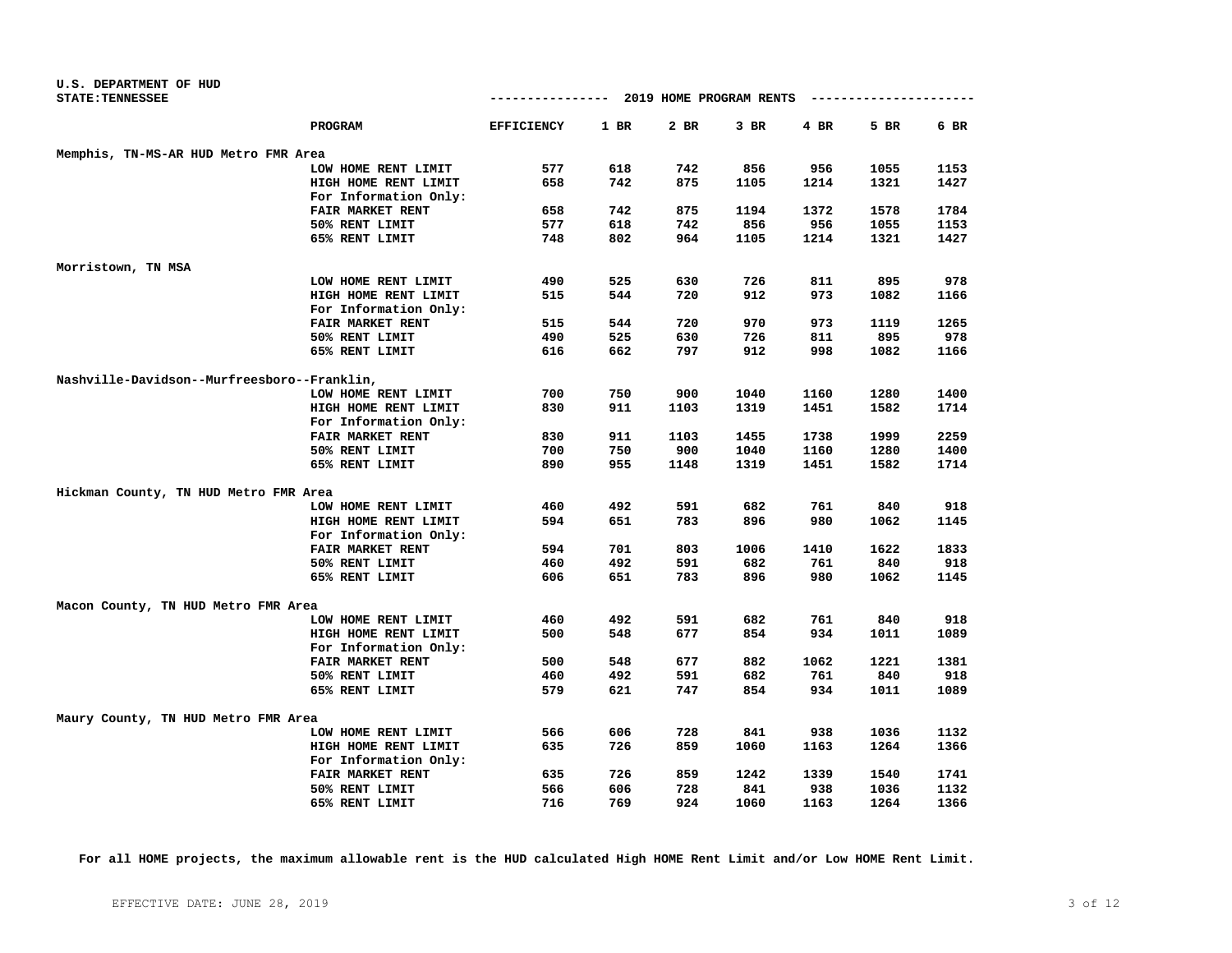| U.S. DEPARTMENT OF HUD                      |                       |                   |      |                         |      |      |      |              |
|---------------------------------------------|-----------------------|-------------------|------|-------------------------|------|------|------|--------------|
| <b>STATE: TENNESSEE</b>                     |                       | ------------      |      | 2019 HOME PROGRAM RENTS |      |      |      |              |
|                                             | PROGRAM               | <b>EFFICIENCY</b> | 1 BR | 2 BR                    | 3 BR | 4 BR | 5 BR | 6 BR         |
| Memphis, TN-MS-AR HUD Metro FMR Area        |                       |                   |      |                         |      |      |      |              |
|                                             | LOW HOME RENT LIMIT   | 577               | 618  | 742                     | 856  | 956  | 1055 | 1153         |
|                                             | HIGH HOME RENT LIMIT  | 658               | 742  | 875                     | 1105 | 1214 | 1321 | 1427         |
|                                             | For Information Only: |                   |      |                         |      |      |      |              |
|                                             | FAIR MARKET RENT      | 658               | 742  | 875                     | 1194 | 1372 | 1578 | 1784         |
|                                             | 50% RENT LIMIT        | 577               | 618  | 742                     | 856  | 956  | 1055 | 1153         |
|                                             | 65% RENT LIMIT        | 748               | 802  | 964                     | 1105 | 1214 | 1321 | 1427         |
| Morristown, TN MSA                          |                       |                   |      |                         |      |      |      |              |
|                                             | LOW HOME RENT LIMIT   | 490               | 525  | 630                     | 726  | 811  | 895  | 978          |
|                                             | HIGH HOME RENT LIMIT  | 515               | 544  | 720                     | 912  | 973  | 1082 | 1166         |
|                                             | For Information Only: |                   |      |                         |      |      |      |              |
|                                             | FAIR MARKET RENT      | 515               | 544  | 720                     | 970  | 973  | 1119 | 1265         |
|                                             | 50% RENT LIMIT        | 490               | 525  | 630                     | 726  | 811  | 895  | 978          |
|                                             | 65% RENT LIMIT        | 616               | 662  | 797                     | 912  | 998  | 1082 | 1166         |
| Nashville-Davidson--Murfreesboro--Franklin, |                       |                   |      |                         |      |      |      |              |
|                                             | LOW HOME RENT LIMIT   | 700               | 750  | 900                     | 1040 | 1160 | 1280 | 1400         |
|                                             |                       | 830               | 911  | 1103                    | 1319 |      | 1582 | 1714         |
|                                             | HIGH HOME RENT LIMIT  |                   |      |                         |      | 1451 |      |              |
|                                             | For Information Only: |                   |      |                         |      |      |      |              |
|                                             | FAIR MARKET RENT      | 830               | 911  | 1103                    | 1455 | 1738 | 1999 | 2259         |
|                                             | 50% RENT LIMIT        | 700<br>890        | 750  | 900                     | 1040 | 1160 | 1280 | 1400<br>1714 |
|                                             | 65% RENT LIMIT        |                   | 955  | 1148                    | 1319 | 1451 | 1582 |              |
| Hickman County, TN HUD Metro FMR Area       |                       |                   |      |                         |      |      |      |              |
|                                             | LOW HOME RENT LIMIT   | 460               | 492  | 591                     | 682  | 761  | 840  | 918          |
|                                             | HIGH HOME RENT LIMIT  | 594               | 651  | 783                     | 896  | 980  | 1062 | 1145         |
|                                             | For Information Only: |                   |      |                         |      |      |      |              |
|                                             | FAIR MARKET RENT      | 594               | 701  | 803                     | 1006 | 1410 | 1622 | 1833         |
|                                             | 50% RENT LIMIT        | 460               | 492  | 591                     | 682  | 761  | 840  | 918          |
|                                             | 65% RENT LIMIT        | 606               | 651  | 783                     | 896  | 980  | 1062 | 1145         |
| Macon County, TN HUD Metro FMR Area         |                       |                   |      |                         |      |      |      |              |
|                                             | LOW HOME RENT LIMIT   | 460               | 492  | 591                     | 682  | 761  | 840  | 918          |
|                                             | HIGH HOME RENT LIMIT  | 500               | 548  | 677                     | 854  | 934  | 1011 | 1089         |
|                                             | For Information Only: |                   |      |                         |      |      |      |              |
|                                             | FAIR MARKET RENT      | 500               | 548  | 677                     | 882  | 1062 | 1221 | 1381         |
|                                             | 50% RENT LIMIT        | 460               | 492  | 591                     | 682  | 761  | 840  | 918          |
|                                             | 65% RENT LIMIT        | 579               | 621  | 747                     | 854  | 934  | 1011 | 1089         |
| Maury County, TN HUD Metro FMR Area         |                       |                   |      |                         |      |      |      |              |
|                                             | LOW HOME RENT LIMIT   | 566               | 606  | 728                     | 841  | 938  | 1036 | 1132         |
|                                             | HIGH HOME RENT LIMIT  | 635               | 726  | 859                     | 1060 | 1163 | 1264 | 1366         |
|                                             | For Information Only: |                   |      |                         |      |      |      |              |
|                                             | FAIR MARKET RENT      | 635               | 726  | 859                     | 1242 | 1339 | 1540 | 1741         |
|                                             | 50% RENT LIMIT        | 566               | 606  | 728                     | 841  | 938  | 1036 | 1132         |
|                                             | 65% RENT LIMIT        | 716               | 769  | 924                     | 1060 | 1163 | 1264 | 1366         |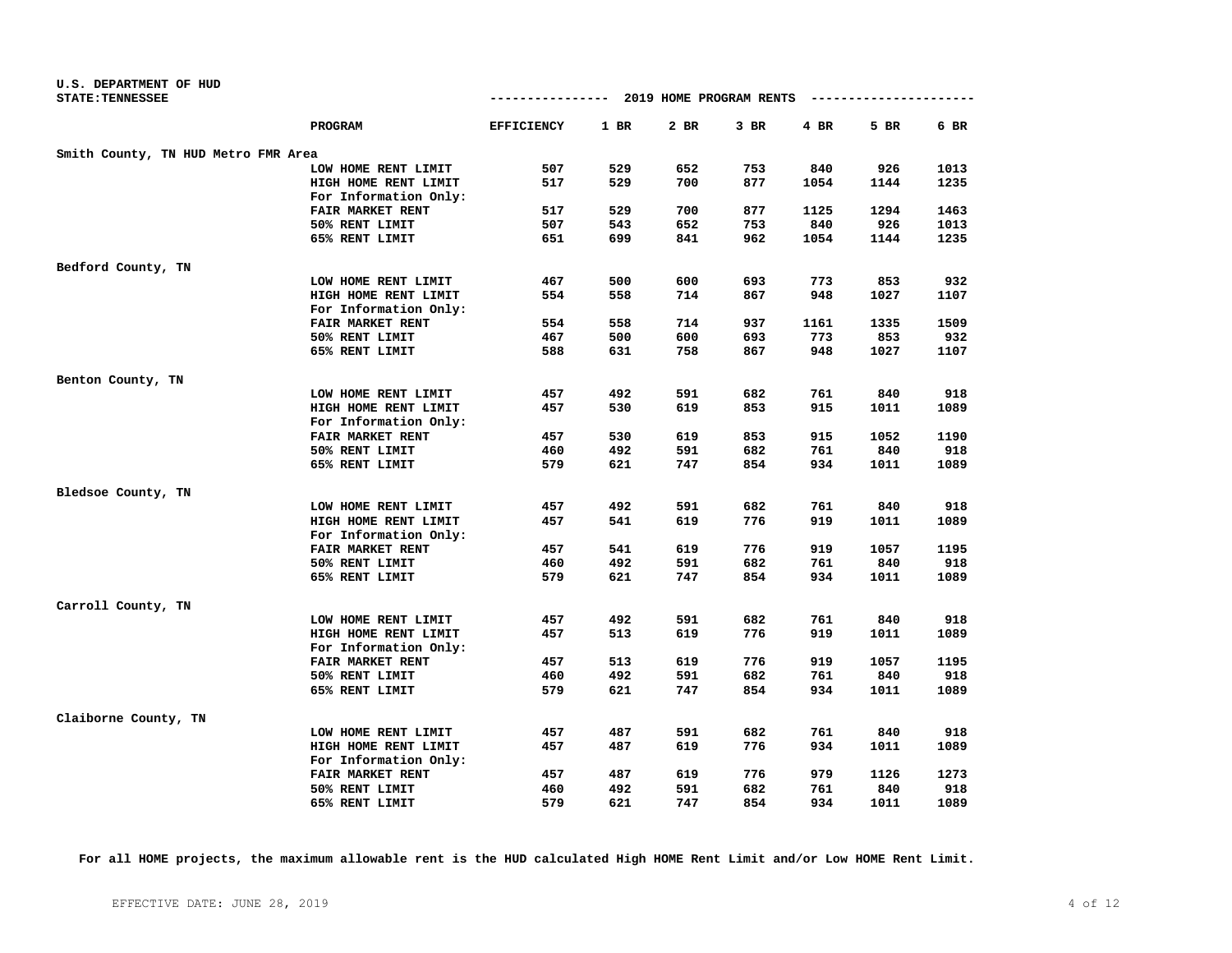| U.S. DEPARTMENT OF HUD              |                       |                   |        |                         |      |            |      |      |
|-------------------------------------|-----------------------|-------------------|--------|-------------------------|------|------------|------|------|
| <b>STATE: TENNESSEE</b>             |                       | --------------    |        | 2019 HOME PROGRAM RENTS |      | ---------- |      |      |
|                                     | PROGRAM               | <b>EFFICIENCY</b> | $1$ BR | 2 BR                    | 3 BR | 4 BR       | 5 BR | 6 BR |
| Smith County, TN HUD Metro FMR Area |                       |                   |        |                         |      |            |      |      |
|                                     | LOW HOME RENT LIMIT   | 507               | 529    | 652                     | 753  | 840        | 926  | 1013 |
|                                     | HIGH HOME RENT LIMIT  | 517               | 529    | 700                     | 877  | 1054       | 1144 | 1235 |
|                                     | For Information Only: |                   |        |                         |      |            |      |      |
|                                     | FAIR MARKET RENT      | 517               | 529    | 700                     | 877  | 1125       | 1294 | 1463 |
|                                     | 50% RENT LIMIT        | 507               | 543    | 652                     | 753  | 840        | 926  | 1013 |
|                                     | 65% RENT LIMIT        | 651               | 699    | 841                     | 962  | 1054       | 1144 | 1235 |
| Bedford County, TN                  |                       |                   |        |                         |      |            |      |      |
|                                     | LOW HOME RENT LIMIT   | 467               | 500    | 600                     | 693  | 773        | 853  | 932  |
|                                     | HIGH HOME RENT LIMIT  | 554               | 558    | 714                     | 867  | 948        | 1027 | 1107 |
|                                     | For Information Only: |                   |        |                         |      |            |      |      |
|                                     | FAIR MARKET RENT      | 554               | 558    | 714                     | 937  | 1161       | 1335 | 1509 |
|                                     | 50% RENT LIMIT        | 467               | 500    | 600                     | 693  | 773        | 853  | 932  |
|                                     | 65% RENT LIMIT        | 588               | 631    | 758                     | 867  | 948        | 1027 | 1107 |
| Benton County, TN                   |                       |                   |        |                         |      |            |      |      |
|                                     | LOW HOME RENT LIMIT   | 457               | 492    | 591                     | 682  | 761        | 840  | 918  |
|                                     | HIGH HOME RENT LIMIT  | 457               | 530    | 619                     | 853  | 915        | 1011 | 1089 |
|                                     | For Information Only: |                   |        |                         |      |            |      |      |
|                                     | FAIR MARKET RENT      | 457               | 530    | 619                     | 853  | 915        | 1052 | 1190 |
|                                     | 50% RENT LIMIT        | 460               | 492    | 591                     | 682  | 761        | 840  | 918  |
|                                     | 65% RENT LIMIT        | 579               | 621    | 747                     | 854  | 934        | 1011 | 1089 |
| Bledsoe County, TN                  |                       |                   |        |                         |      |            |      |      |
|                                     | LOW HOME RENT LIMIT   | 457               | 492    | 591                     | 682  | 761        | 840  | 918  |
|                                     | HIGH HOME RENT LIMIT  | 457               | 541    | 619                     | 776  | 919        | 1011 | 1089 |
|                                     | For Information Only: |                   |        |                         |      |            |      |      |
|                                     | FAIR MARKET RENT      | 457               | 541    | 619                     | 776  | 919        | 1057 | 1195 |
|                                     | 50% RENT LIMIT        | 460               | 492    | 591                     | 682  | 761        | 840  | 918  |
|                                     | 65% RENT LIMIT        | 579               | 621    | 747                     | 854  | 934        | 1011 | 1089 |
|                                     |                       |                   |        |                         |      |            |      |      |
| Carroll County, TN                  | LOW HOME RENT LIMIT   | 457               | 492    | 591                     | 682  | 761        | 840  | 918  |
|                                     | HIGH HOME RENT LIMIT  | 457               | 513    | 619                     | 776  | 919        | 1011 | 1089 |
|                                     | For Information Only: |                   |        |                         |      |            |      |      |
|                                     | FAIR MARKET RENT      | 457               | 513    | 619                     | 776  | 919        | 1057 | 1195 |
|                                     | 50% RENT LIMIT        | 460               | 492    | 591                     | 682  | 761        | 840  | 918  |
|                                     | 65% RENT LIMIT        | 579               | 621    | 747                     | 854  | 934        | 1011 | 1089 |
|                                     |                       |                   |        |                         |      |            |      |      |
| Claiborne County, TN                |                       |                   |        |                         |      |            |      |      |
|                                     | LOW HOME RENT LIMIT   | 457               | 487    | 591                     | 682  | 761        | 840  | 918  |
|                                     | HIGH HOME RENT LIMIT  | 457               | 487    | 619                     | 776  | 934        | 1011 | 1089 |
|                                     | For Information Only: |                   |        |                         |      |            |      |      |
|                                     | FAIR MARKET RENT      | 457               | 487    | 619                     | 776  | 979        | 1126 | 1273 |
|                                     | 50% RENT LIMIT        | 460               | 492    | 591                     | 682  | 761        | 840  | 918  |
|                                     | 65% RENT LIMIT        | 579               | 621    | 747                     | 854  | 934        | 1011 | 1089 |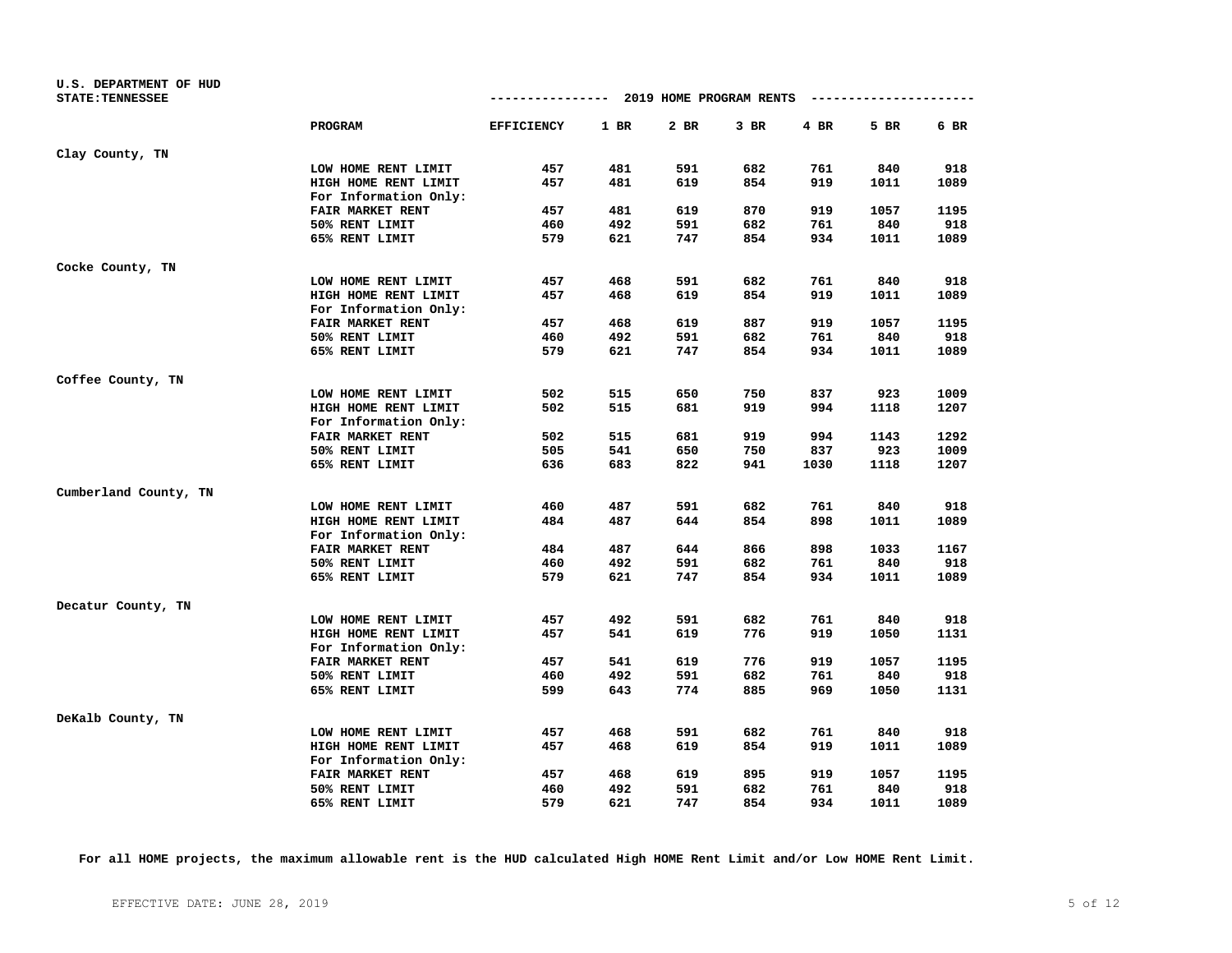| U.S. DEPARTMENT OF HUD  |                         | -------------- 2019 HOME PROGRAM RENTS |      |      |        |      | ---------------------- |      |
|-------------------------|-------------------------|----------------------------------------|------|------|--------|------|------------------------|------|
| <b>STATE: TENNESSEE</b> |                         |                                        |      |      |        |      |                        |      |
|                         | PROGRAM                 | <b>EFFICIENCY</b>                      | 1 BR | 2 BR | $3$ BR | 4 BR | 5 BR                   | 6 BR |
| Clay County, TN         |                         |                                        |      |      |        |      |                        |      |
|                         | LOW HOME RENT LIMIT     | 457                                    | 481  | 591  | 682    | 761  | 840                    | 918  |
|                         | HIGH HOME RENT LIMIT    | 457                                    | 481  | 619  | 854    | 919  | 1011                   | 1089 |
|                         | For Information Only:   |                                        |      |      |        |      |                        |      |
|                         | FAIR MARKET RENT        | 457                                    | 481  | 619  | 870    | 919  | 1057                   | 1195 |
|                         | 50% RENT LIMIT          | 460                                    | 492  | 591  | 682    | 761  | 840                    | 918  |
|                         | 65% RENT LIMIT          | 579                                    | 621  | 747  | 854    | 934  | 1011                   | 1089 |
| Cocke County, TN        |                         |                                        |      |      |        |      |                        |      |
|                         | LOW HOME RENT LIMIT     | 457                                    | 468  | 591  | 682    | 761  | 840                    | 918  |
|                         | HIGH HOME RENT LIMIT    | 457                                    | 468  | 619  | 854    | 919  | 1011                   | 1089 |
|                         | For Information Only:   |                                        |      |      |        |      |                        |      |
|                         | FAIR MARKET RENT        | 457                                    | 468  | 619  | 887    | 919  | 1057                   | 1195 |
|                         | 50% RENT LIMIT          | 460                                    | 492  | 591  | 682    | 761  | 840                    | 918  |
|                         | 65% RENT LIMIT          | 579                                    | 621  | 747  | 854    | 934  | 1011                   | 1089 |
| Coffee County, TN       |                         |                                        |      |      |        |      |                        |      |
|                         | LOW HOME RENT LIMIT     | 502                                    | 515  | 650  | 750    | 837  | 923                    | 1009 |
|                         | HIGH HOME RENT LIMIT    | 502                                    | 515  | 681  | 919    | 994  | 1118                   | 1207 |
|                         | For Information Only:   |                                        |      |      |        |      |                        |      |
|                         | <b>FAIR MARKET RENT</b> | 502                                    | 515  | 681  | 919    | 994  | 1143                   | 1292 |
|                         | 50% RENT LIMIT          | 505                                    | 541  | 650  | 750    | 837  | 923                    | 1009 |
|                         | 65% RENT LIMIT          | 636                                    | 683  | 822  | 941    | 1030 | 1118                   | 1207 |
| Cumberland County, TN   |                         |                                        |      |      |        |      |                        |      |
|                         | LOW HOME RENT LIMIT     | 460                                    | 487  | 591  | 682    | 761  | 840                    | 918  |
|                         | HIGH HOME RENT LIMIT    | 484                                    | 487  | 644  | 854    | 898  | 1011                   | 1089 |
|                         | For Information Only:   |                                        |      |      |        |      |                        |      |
|                         | <b>FAIR MARKET RENT</b> | 484                                    | 487  | 644  | 866    | 898  | 1033                   | 1167 |
|                         | 50% RENT LIMIT          | 460                                    | 492  | 591  | 682    | 761  | 840                    | 918  |
|                         | 65% RENT LIMIT          | 579                                    | 621  | 747  | 854    | 934  | 1011                   | 1089 |
| Decatur County, TN      |                         |                                        |      |      |        |      |                        |      |
|                         | LOW HOME RENT LIMIT     | 457                                    | 492  | 591  | 682    | 761  | 840                    | 918  |
|                         | HIGH HOME RENT LIMIT    | 457                                    | 541  | 619  | 776    | 919  | 1050                   | 1131 |
|                         | For Information Only:   |                                        |      |      |        |      |                        |      |
|                         | FAIR MARKET RENT        | 457                                    | 541  | 619  | 776    | 919  | 1057                   | 1195 |
|                         | 50% RENT LIMIT          | 460                                    | 492  | 591  | 682    | 761  | 840                    | 918  |
|                         | 65% RENT LIMIT          | 599                                    | 643  | 774  | 885    | 969  | 1050                   | 1131 |
| DeKalb County, TN       |                         |                                        |      |      |        |      |                        |      |
|                         | LOW HOME RENT LIMIT     | 457                                    | 468  | 591  | 682    | 761  | 840                    | 918  |
|                         | HIGH HOME RENT LIMIT    | 457                                    | 468  | 619  | 854    | 919  | 1011                   | 1089 |
|                         | For Information Only:   |                                        |      |      |        |      |                        |      |
|                         | FAIR MARKET RENT        | 457                                    | 468  | 619  | 895    | 919  | 1057                   | 1195 |
|                         | 50% RENT LIMIT          | 460                                    | 492  | 591  | 682    | 761  | 840                    | 918  |
|                         | 65% RENT LIMIT          | 579                                    | 621  | 747  | 854    | 934  | 1011                   | 1089 |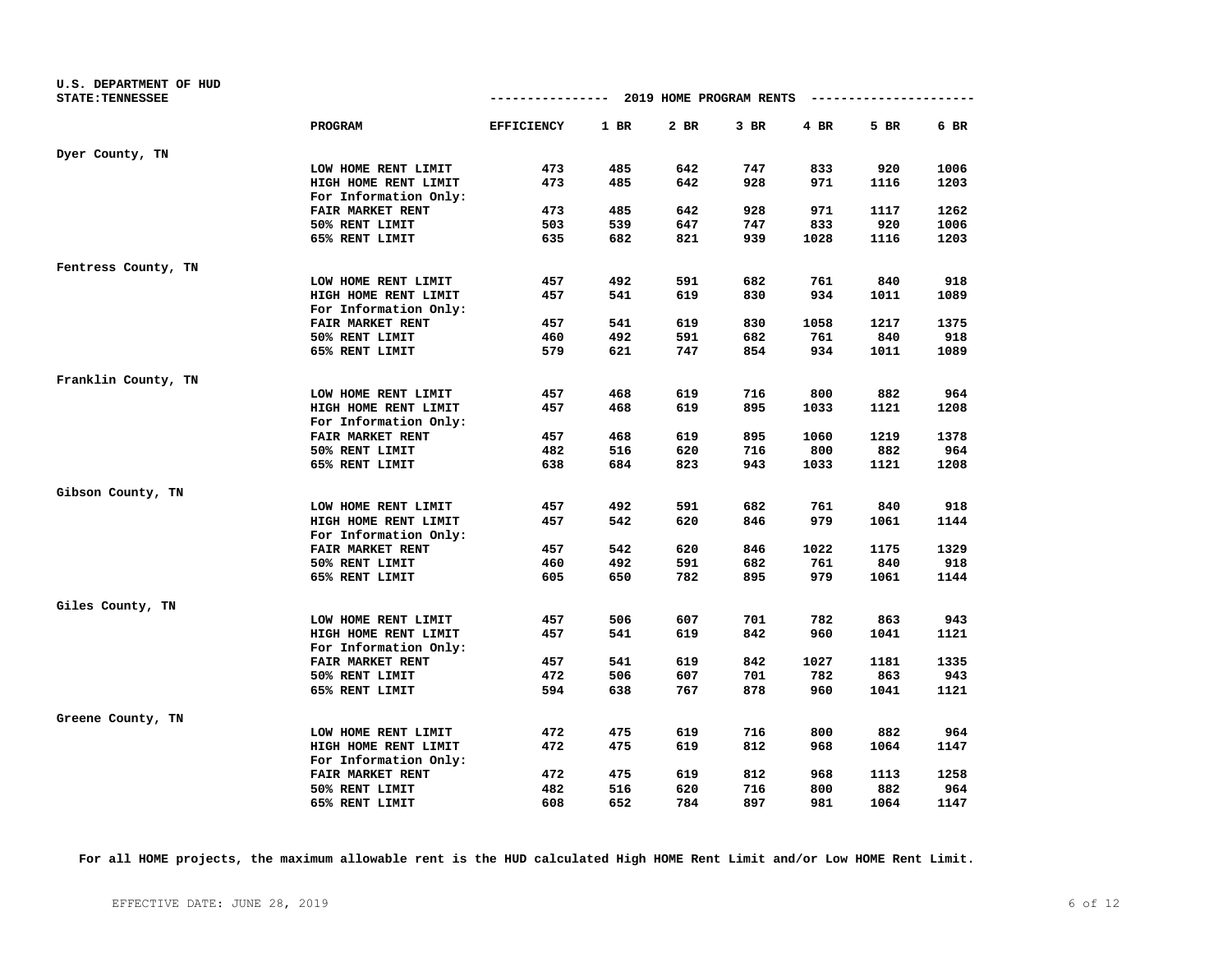| U.S. DEPARTMENT OF HUD<br><b>STATE: TENNESSEE</b> |                         |                   |            | ------------- 2019 HOME PROGRAM RENTS |            |            | ---------------------- |      |
|---------------------------------------------------|-------------------------|-------------------|------------|---------------------------------------|------------|------------|------------------------|------|
|                                                   | <b>PROGRAM</b>          | <b>EFFICIENCY</b> | 1 BR       | 2 BR                                  | $3$ BR     | $4$ BR     | 5 BR                   | 6 BR |
| Dyer County, TN                                   |                         |                   |            |                                       |            |            |                        |      |
|                                                   | LOW HOME RENT LIMIT     | 473               | 485        | 642                                   | 747        | 833        | 920                    | 1006 |
|                                                   | HIGH HOME RENT LIMIT    | 473               | 485        | 642                                   | 928        | 971        | 1116                   | 1203 |
|                                                   | For Information Only:   |                   |            |                                       |            |            |                        |      |
|                                                   | FAIR MARKET RENT        | 473               | 485        | 642                                   | 928        | 971        | 1117                   | 1262 |
|                                                   | 50% RENT LIMIT          | 503               | 539        | 647                                   | 747        | 833        | 920                    | 1006 |
|                                                   | 65% RENT LIMIT          | 635               | 682        | 821                                   | 939        | 1028       | 1116                   | 1203 |
| Fentress County, TN                               |                         |                   |            |                                       |            |            |                        |      |
|                                                   | LOW HOME RENT LIMIT     | 457               | 492        | 591                                   | 682        | 761        | 840                    | 918  |
|                                                   | HIGH HOME RENT LIMIT    | 457               | 541        | 619                                   | 830        | 934        | 1011                   | 1089 |
|                                                   | For Information Only:   |                   |            |                                       |            |            |                        |      |
|                                                   | FAIR MARKET RENT        | 457               | 541        | 619                                   | 830        | 1058       | 1217                   | 1375 |
|                                                   | 50% RENT LIMIT          | 460               | 492        | 591                                   | 682        | 761        | 840                    | 918  |
|                                                   | 65% RENT LIMIT          | 579               | 621        | 747                                   | 854        | 934        | 1011                   | 1089 |
| Franklin County, TN                               |                         |                   |            |                                       |            |            |                        |      |
|                                                   | LOW HOME RENT LIMIT     | 457               | 468        | 619                                   | 716        | 800        | 882                    | 964  |
|                                                   | HIGH HOME RENT LIMIT    | 457               | 468        | 619                                   | 895        | 1033       | 1121                   | 1208 |
|                                                   | For Information Only:   |                   |            |                                       |            |            |                        |      |
|                                                   | <b>FAIR MARKET RENT</b> | 457               | 468        | 619                                   | 895        | 1060       | 1219                   | 1378 |
|                                                   | 50% RENT LIMIT          | 482               | 516        | 620                                   | 716        | 800        | 882                    | 964  |
|                                                   | 65% RENT LIMIT          | 638               | 684        | 823                                   | 943        | 1033       | 1121                   | 1208 |
| Gibson County, TN                                 |                         |                   |            |                                       |            |            |                        |      |
|                                                   | LOW HOME RENT LIMIT     | 457               | 492        | 591                                   | 682        | 761        | 840                    | 918  |
|                                                   | HIGH HOME RENT LIMIT    | 457               | 542        | 620                                   | 846        | 979        | 1061                   | 1144 |
|                                                   | For Information Only:   |                   |            |                                       |            |            |                        |      |
|                                                   | <b>FAIR MARKET RENT</b> | 457               | 542        | 620                                   | 846        | 1022       | 1175                   | 1329 |
|                                                   | 50% RENT LIMIT          | 460               | 492        | 591                                   | 682        | 761        | 840                    | 918  |
|                                                   | 65% RENT LIMIT          | 605               | 650        | 782                                   | 895        | 979        | 1061                   | 1144 |
| Giles County, TN                                  |                         |                   |            |                                       |            |            |                        |      |
|                                                   | LOW HOME RENT LIMIT     | 457               | 506        | 607                                   | 701        | 782        | 863                    | 943  |
|                                                   | HIGH HOME RENT LIMIT    | 457               | 541        | 619                                   | 842        | 960        | 1041                   | 1121 |
|                                                   | For Information Only:   |                   |            |                                       |            |            |                        |      |
|                                                   | FAIR MARKET RENT        | 457               | 541        | 619                                   | 842        | 1027       | 1181                   | 1335 |
|                                                   | 50% RENT LIMIT          | 472               | 506        | 607                                   | 701        | 782        | 863                    | 943  |
|                                                   | 65% RENT LIMIT          | 594               | 638        | 767                                   | 878        | 960        | 1041                   | 1121 |
| Greene County, TN                                 |                         |                   |            |                                       |            |            |                        |      |
|                                                   | LOW HOME RENT LIMIT     | 472               | 475        | 619                                   | 716        | 800        | 882                    | 964  |
|                                                   | HIGH HOME RENT LIMIT    | 472               | 475        | 619                                   | 812        | 968        | 1064                   | 1147 |
|                                                   | For Information Only:   |                   |            |                                       |            |            |                        |      |
|                                                   | FAIR MARKET RENT        | 472<br>482        | 475        | 619<br>620                            | 812<br>716 | 968        | 1113<br>882            | 1258 |
|                                                   | 50% RENT LIMIT          | 608               | 516<br>652 | 784                                   | 897        | 800<br>981 | 1064                   | 964  |
|                                                   | 65% RENT LIMIT          |                   |            |                                       |            |            |                        | 1147 |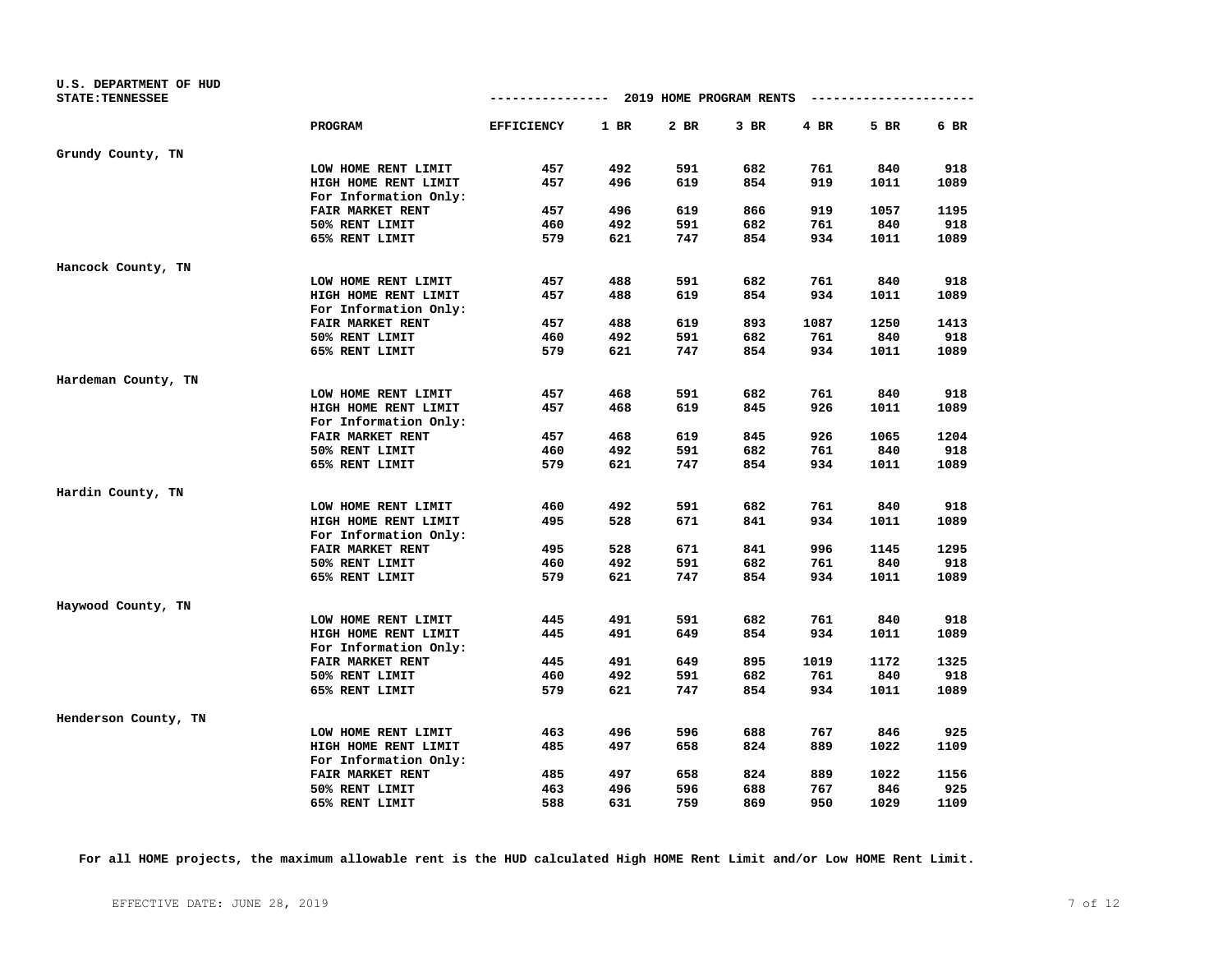| U.S. DEPARTMENT OF HUD  |                         |                   |      |                                      |        |      |      |      |
|-------------------------|-------------------------|-------------------|------|--------------------------------------|--------|------|------|------|
| <b>STATE: TENNESSEE</b> |                         |                   |      | ------------ 2019 HOME PROGRAM RENTS |        |      |      |      |
|                         | PROGRAM                 | <b>EFFICIENCY</b> | 1 BR | 2 BR                                 | $3$ BR | 4 BR | 5 BR | 6 BR |
| Grundy County, TN       |                         |                   |      |                                      |        |      |      |      |
|                         | LOW HOME RENT LIMIT     | 457               | 492  | 591                                  | 682    | 761  | 840  | 918  |
|                         | HIGH HOME RENT LIMIT    | 457               | 496  | 619                                  | 854    | 919  | 1011 | 1089 |
|                         | For Information Only:   |                   |      |                                      |        |      |      |      |
|                         | <b>FAIR MARKET RENT</b> | 457               | 496  | 619                                  | 866    | 919  | 1057 | 1195 |
|                         | 50% RENT LIMIT          | 460               | 492  | 591                                  | 682    | 761  | 840  | 918  |
|                         | 65% RENT LIMIT          | 579               | 621  | 747                                  | 854    | 934  | 1011 | 1089 |
| Hancock County, TN      |                         |                   |      |                                      |        |      |      |      |
|                         | LOW HOME RENT LIMIT     | 457               | 488  | 591                                  | 682    | 761  | 840  | 918  |
|                         | HIGH HOME RENT LIMIT    | 457               | 488  | 619                                  | 854    | 934  | 1011 | 1089 |
|                         | For Information Only:   |                   |      |                                      |        |      |      |      |
|                         | FAIR MARKET RENT        | 457               | 488  | 619                                  | 893    | 1087 | 1250 | 1413 |
|                         | 50% RENT LIMIT          | 460               | 492  | 591                                  | 682    | 761  | 840  | 918  |
|                         | 65% RENT LIMIT          | 579               | 621  | 747                                  | 854    | 934  | 1011 | 1089 |
| Hardeman County, TN     |                         |                   |      |                                      |        |      |      |      |
|                         | LOW HOME RENT LIMIT     | 457               | 468  | 591                                  | 682    | 761  | 840  | 918  |
|                         | HIGH HOME RENT LIMIT    | 457               | 468  | 619                                  | 845    | 926  | 1011 | 1089 |
|                         | For Information Only:   |                   |      |                                      |        |      |      |      |
|                         | <b>FAIR MARKET RENT</b> | 457               | 468  | 619                                  | 845    | 926  | 1065 | 1204 |
|                         | 50% RENT LIMIT          | 460               | 492  | 591                                  | 682    | 761  | 840  | 918  |
|                         | 65% RENT LIMIT          | 579               | 621  | 747                                  | 854    | 934  | 1011 | 1089 |
| Hardin County, TN       |                         |                   |      |                                      |        |      |      |      |
|                         | LOW HOME RENT LIMIT     | 460               | 492  | 591                                  | 682    | 761  | 840  | 918  |
|                         | HIGH HOME RENT LIMIT    | 495               | 528  | 671                                  | 841    | 934  | 1011 | 1089 |
|                         | For Information Only:   |                   |      |                                      |        |      |      |      |
|                         | <b>FAIR MARKET RENT</b> | 495               | 528  | 671                                  | 841    | 996  | 1145 | 1295 |
|                         | 50% RENT LIMIT          | 460               | 492  | 591                                  | 682    | 761  | 840  | 918  |
|                         | 65% RENT LIMIT          | 579               | 621  | 747                                  | 854    | 934  | 1011 | 1089 |
| Haywood County, TN      |                         |                   |      |                                      |        |      |      |      |
|                         | LOW HOME RENT LIMIT     | 445               | 491  | 591                                  | 682    | 761  | 840  | 918  |
|                         | HIGH HOME RENT LIMIT    | 445               | 491  | 649                                  | 854    | 934  | 1011 | 1089 |
|                         | For Information Only:   |                   |      |                                      |        |      |      |      |
|                         | FAIR MARKET RENT        | 445               | 491  | 649                                  | 895    | 1019 | 1172 | 1325 |
|                         | 50% RENT LIMIT          | 460               | 492  | 591                                  | 682    | 761  | 840  | 918  |
|                         | 65% RENT LIMIT          | 579               | 621  | 747                                  | 854    | 934  | 1011 | 1089 |
| Henderson County, TN    |                         |                   |      |                                      |        |      |      |      |
|                         | LOW HOME RENT LIMIT     | 463               | 496  | 596                                  | 688    | 767  | 846  | 925  |
|                         | HIGH HOME RENT LIMIT    | 485               | 497  | 658                                  | 824    | 889  | 1022 | 1109 |
|                         | For Information Only:   |                   |      |                                      |        |      |      |      |
|                         | <b>FAIR MARKET RENT</b> | 485               | 497  | 658                                  | 824    | 889  | 1022 | 1156 |
|                         | 50% RENT LIMIT          | 463               | 496  | 596                                  | 688    | 767  | 846  | 925  |
|                         | 65% RENT LIMIT          | 588               | 631  | 759                                  | 869    | 950  | 1029 | 1109 |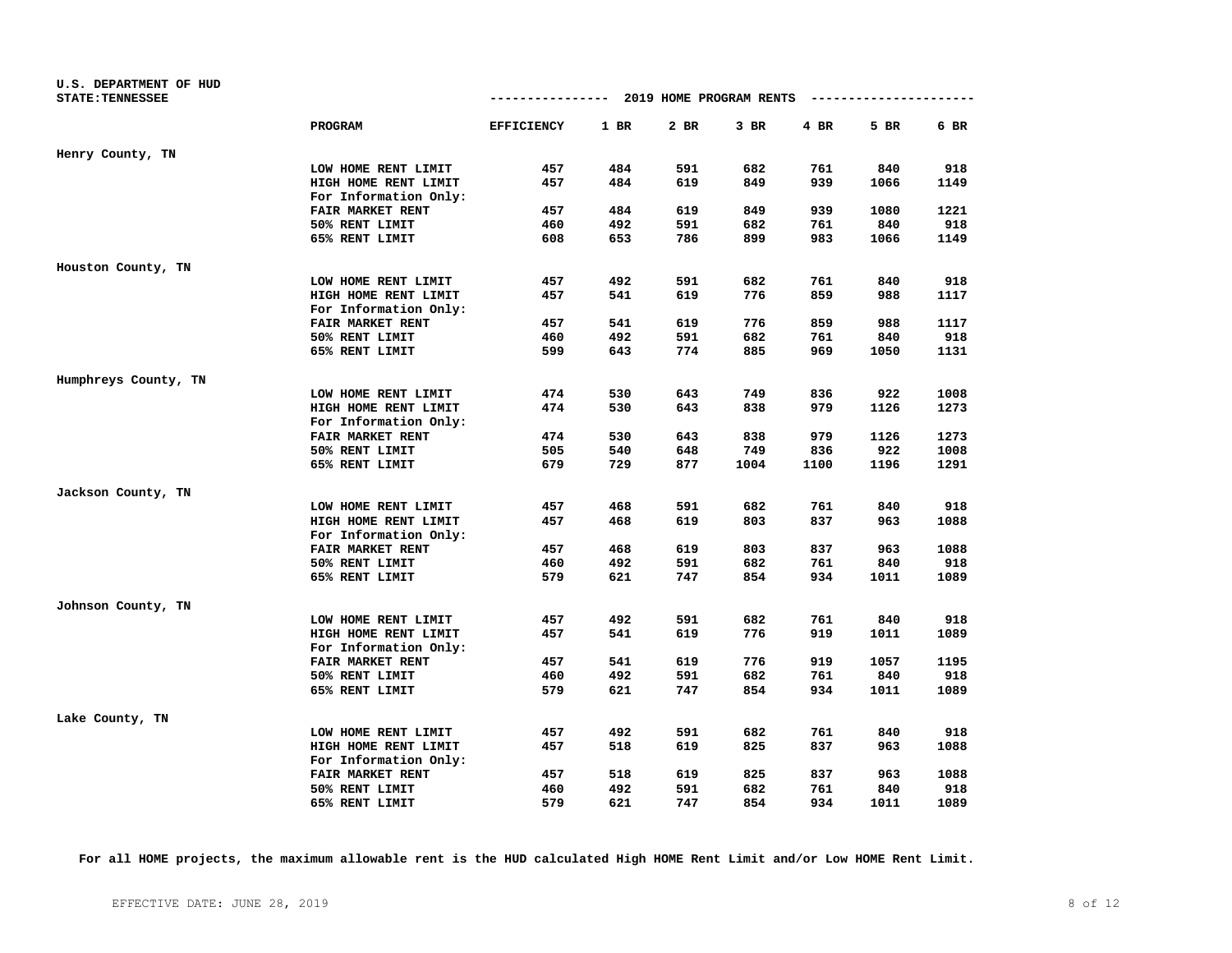| U.S. DEPARTMENT OF HUD  |                         |                                      |      |      |        |      |                        |      |
|-------------------------|-------------------------|--------------------------------------|------|------|--------|------|------------------------|------|
| <b>STATE: TENNESSEE</b> |                         | ------------ 2019 HOME PROGRAM RENTS |      |      |        |      | ---------------------- |      |
|                         | PROGRAM                 | <b>EFFICIENCY</b>                    | 1 BR | 2 BR | $3$ BR | 4 BR | 5 BR                   | 6 BR |
| Henry County, TN        |                         |                                      |      |      |        |      |                        |      |
|                         | LOW HOME RENT LIMIT     | 457                                  | 484  | 591  | 682    | 761  | 840                    | 918  |
|                         | HIGH HOME RENT LIMIT    | 457                                  | 484  | 619  | 849    | 939  | 1066                   | 1149 |
|                         | For Information Only:   |                                      |      |      |        |      |                        |      |
|                         | <b>FAIR MARKET RENT</b> | 457                                  | 484  | 619  | 849    | 939  | 1080                   | 1221 |
|                         | 50% RENT LIMIT          | 460                                  | 492  | 591  | 682    | 761  | 840                    | 918  |
|                         | 65% RENT LIMIT          | 608                                  | 653  | 786  | 899    | 983  | 1066                   | 1149 |
| Houston County, TN      |                         |                                      |      |      |        |      |                        |      |
|                         | LOW HOME RENT LIMIT     | 457                                  | 492  | 591  | 682    | 761  | 840                    | 918  |
|                         | HIGH HOME RENT LIMIT    | 457                                  | 541  | 619  | 776    | 859  | 988                    | 1117 |
|                         | For Information Only:   |                                      |      |      |        |      |                        |      |
|                         | FAIR MARKET RENT        | 457                                  | 541  | 619  | 776    | 859  | 988                    | 1117 |
|                         | 50% RENT LIMIT          | 460                                  | 492  | 591  | 682    | 761  | 840                    | 918  |
|                         | 65% RENT LIMIT          | 599                                  | 643  | 774  | 885    | 969  | 1050                   | 1131 |
| Humphreys County, TN    |                         |                                      |      |      |        |      |                        |      |
|                         | LOW HOME RENT LIMIT     | 474                                  | 530  | 643  | 749    | 836  | 922                    | 1008 |
|                         | HIGH HOME RENT LIMIT    | 474                                  | 530  | 643  | 838    | 979  | 1126                   | 1273 |
|                         | For Information Only:   |                                      |      |      |        |      |                        |      |
|                         | <b>FAIR MARKET RENT</b> | 474                                  | 530  | 643  | 838    | 979  | 1126                   | 1273 |
|                         | 50% RENT LIMIT          | 505                                  | 540  | 648  | 749    | 836  | 922                    | 1008 |
|                         | 65% RENT LIMIT          | 679                                  | 729  | 877  | 1004   | 1100 | 1196                   | 1291 |
| Jackson County, TN      |                         |                                      |      |      |        |      |                        |      |
|                         | LOW HOME RENT LIMIT     | 457                                  | 468  | 591  | 682    | 761  | 840                    | 918  |
|                         | HIGH HOME RENT LIMIT    | 457                                  | 468  | 619  | 803    | 837  | 963                    | 1088 |
|                         | For Information Only:   |                                      |      |      |        |      |                        |      |
|                         | <b>FAIR MARKET RENT</b> | 457                                  | 468  | 619  | 803    | 837  | 963                    | 1088 |
|                         | 50% RENT LIMIT          | 460                                  | 492  | 591  | 682    | 761  | 840                    | 918  |
|                         | 65% RENT LIMIT          | 579                                  | 621  | 747  | 854    | 934  | 1011                   | 1089 |
| Johnson County, TN      |                         |                                      |      |      |        |      |                        |      |
|                         | LOW HOME RENT LIMIT     | 457                                  | 492  | 591  | 682    | 761  | 840                    | 918  |
|                         | HIGH HOME RENT LIMIT    | 457                                  | 541  | 619  | 776    | 919  | 1011                   | 1089 |
|                         | For Information Only:   |                                      |      |      |        |      |                        |      |
|                         | FAIR MARKET RENT        | 457                                  | 541  | 619  | 776    | 919  | 1057                   | 1195 |
|                         | 50% RENT LIMIT          | 460                                  | 492  | 591  | 682    | 761  | 840                    | 918  |
|                         | 65% RENT LIMIT          | 579                                  | 621  | 747  | 854    | 934  | 1011                   | 1089 |
| Lake County, TN         |                         |                                      |      |      |        |      |                        |      |
|                         | LOW HOME RENT LIMIT     | 457                                  | 492  | 591  | 682    | 761  | 840                    | 918  |
|                         | HIGH HOME RENT LIMIT    | 457                                  | 518  | 619  | 825    | 837  | 963                    | 1088 |
|                         | For Information Only:   |                                      |      |      |        |      |                        |      |
|                         | <b>FAIR MARKET RENT</b> | 457                                  | 518  | 619  | 825    | 837  | 963                    | 1088 |
|                         | 50% RENT LIMIT          | 460                                  | 492  | 591  | 682    | 761  | 840                    | 918  |
|                         | 65% RENT LIMIT          | 579                                  | 621  | 747  | 854    | 934  | 1011                   | 1089 |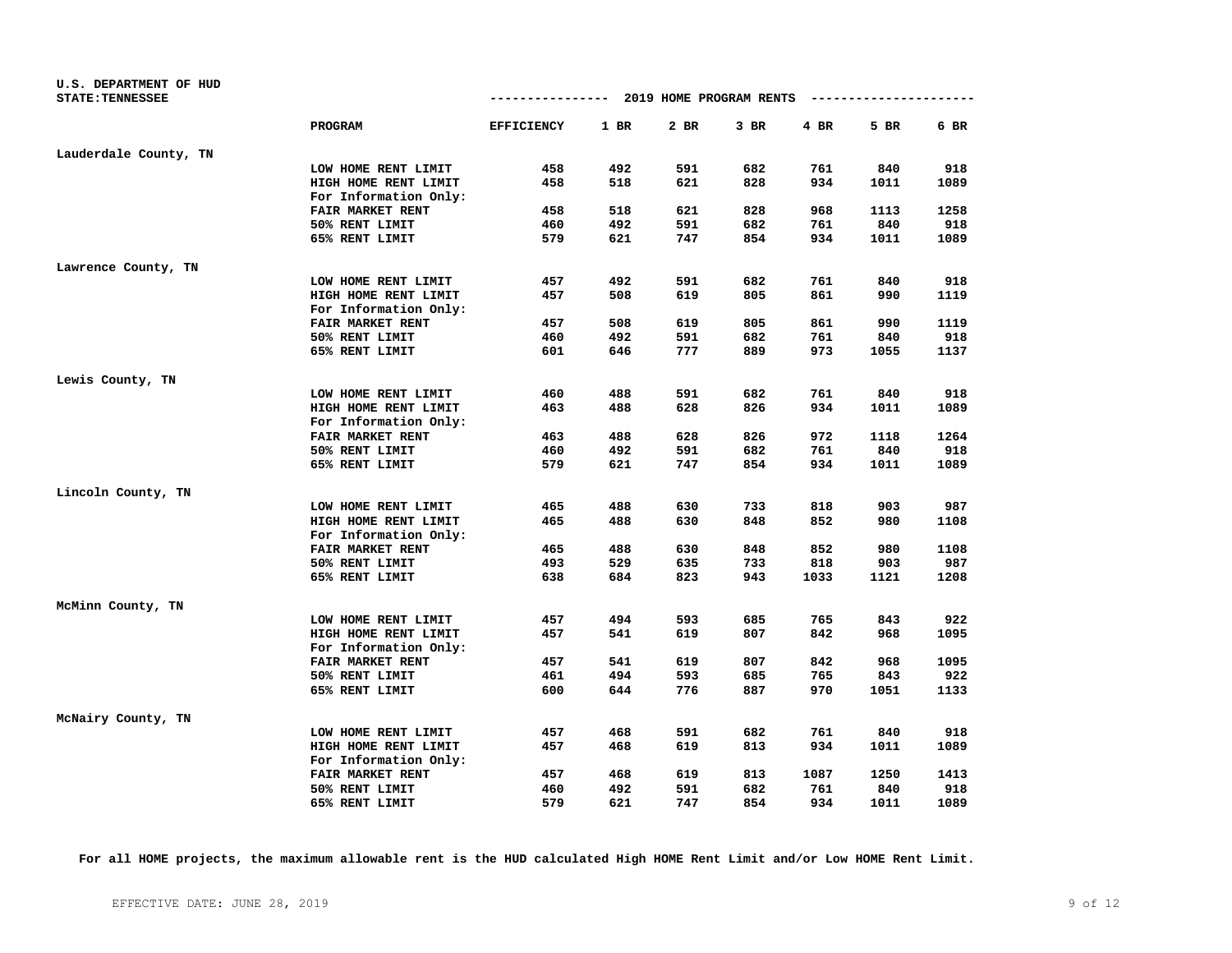| U.S. DEPARTMENT OF HUD<br><b>STATE: TENNESSEE</b> |                         |                   |      | ------------ 2019 HOME PROGRAM RENTS |        |        | ---------------------- |      |
|---------------------------------------------------|-------------------------|-------------------|------|--------------------------------------|--------|--------|------------------------|------|
|                                                   | PROGRAM                 | <b>EFFICIENCY</b> | 1 BR | 2 BR                                 | $3$ BR | $4$ BR | 5 BR                   | 6 BR |
|                                                   |                         |                   |      |                                      |        |        |                        |      |
| Lauderdale County, TN                             |                         |                   |      |                                      |        |        |                        |      |
|                                                   | LOW HOME RENT LIMIT     | 458               | 492  | 591                                  | 682    | 761    | 840                    | 918  |
|                                                   | HIGH HOME RENT LIMIT    | 458               | 518  | 621                                  | 828    | 934    | 1011                   | 1089 |
|                                                   | For Information Only:   |                   |      |                                      |        |        |                        |      |
|                                                   | FAIR MARKET RENT        | 458               | 518  | 621                                  | 828    | 968    | 1113                   | 1258 |
|                                                   | 50% RENT LIMIT          | 460               | 492  | 591                                  | 682    | 761    | 840                    | 918  |
|                                                   | 65% RENT LIMIT          | 579               | 621  | 747                                  | 854    | 934    | 1011                   | 1089 |
| Lawrence County, TN                               |                         |                   |      |                                      |        |        |                        |      |
|                                                   | LOW HOME RENT LIMIT     | 457               | 492  | 591                                  | 682    | 761    | 840                    | 918  |
|                                                   | HIGH HOME RENT LIMIT    | 457               | 508  | 619                                  | 805    | 861    | 990                    | 1119 |
|                                                   | For Information Only:   |                   |      |                                      |        |        |                        |      |
|                                                   | FAIR MARKET RENT        | 457               | 508  | 619                                  | 805    | 861    | 990                    | 1119 |
|                                                   | 50% RENT LIMIT          | 460               | 492  | 591                                  | 682    | 761    | 840                    | 918  |
|                                                   | 65% RENT LIMIT          | 601               | 646  | 777                                  | 889    | 973    | 1055                   | 1137 |
| Lewis County, TN                                  |                         |                   |      |                                      |        |        |                        |      |
|                                                   | LOW HOME RENT LIMIT     | 460               | 488  | 591                                  | 682    | 761    | 840                    | 918  |
|                                                   | HIGH HOME RENT LIMIT    | 463               | 488  | 628                                  | 826    | 934    | 1011                   | 1089 |
|                                                   | For Information Only:   |                   |      |                                      |        |        |                        |      |
|                                                   | <b>FAIR MARKET RENT</b> | 463               | 488  | 628                                  | 826    | 972    | 1118                   | 1264 |
|                                                   | 50% RENT LIMIT          | 460               | 492  | 591                                  | 682    | 761    | 840                    | 918  |
|                                                   | 65% RENT LIMIT          | 579               | 621  | 747                                  | 854    | 934    | 1011                   | 1089 |
| Lincoln County, TN                                |                         |                   |      |                                      |        |        |                        |      |
|                                                   | LOW HOME RENT LIMIT     | 465               | 488  | 630                                  | 733    | 818    | 903                    | 987  |
|                                                   | HIGH HOME RENT LIMIT    | 465               | 488  | 630                                  | 848    | 852    | 980                    | 1108 |
|                                                   | For Information Only:   |                   |      |                                      |        |        |                        |      |
|                                                   | <b>FAIR MARKET RENT</b> | 465               | 488  | 630                                  | 848    | 852    | 980                    | 1108 |
|                                                   | 50% RENT LIMIT          | 493               | 529  | 635                                  | 733    | 818    | 903                    | 987  |
|                                                   | 65% RENT LIMIT          | 638               | 684  | 823                                  | 943    | 1033   | 1121                   | 1208 |
| McMinn County, TN                                 |                         |                   |      |                                      |        |        |                        |      |
|                                                   | LOW HOME RENT LIMIT     | 457               | 494  | 593                                  | 685    | 765    | 843                    | 922  |
|                                                   | HIGH HOME RENT LIMIT    | 457               | 541  | 619                                  | 807    | 842    | 968                    | 1095 |
|                                                   | For Information Only:   |                   |      |                                      |        |        |                        |      |
|                                                   | FAIR MARKET RENT        | 457               | 541  | 619                                  | 807    | 842    | 968                    | 1095 |
|                                                   | 50% RENT LIMIT          | 461               | 494  | 593                                  | 685    | 765    | 843                    | 922  |
|                                                   | 65% RENT LIMIT          | 600               | 644  | 776                                  | 887    | 970    | 1051                   | 1133 |
| McNairy County, TN                                |                         |                   |      |                                      |        |        |                        |      |
|                                                   | LOW HOME RENT LIMIT     | 457               | 468  | 591                                  | 682    | 761    | 840                    | 918  |
|                                                   | HIGH HOME RENT LIMIT    | 457               | 468  | 619                                  | 813    | 934    | 1011                   | 1089 |
|                                                   | For Information Only:   |                   |      |                                      |        |        |                        |      |
|                                                   | FAIR MARKET RENT        | 457               | 468  | 619                                  | 813    | 1087   | 1250                   | 1413 |
|                                                   | 50% RENT LIMIT          | 460               | 492  | 591                                  | 682    | 761    | 840                    | 918  |
|                                                   | 65% RENT LIMIT          | 579               | 621  | 747                                  | 854    | 934    | 1011                   | 1089 |
|                                                   |                         |                   |      |                                      |        |        |                        |      |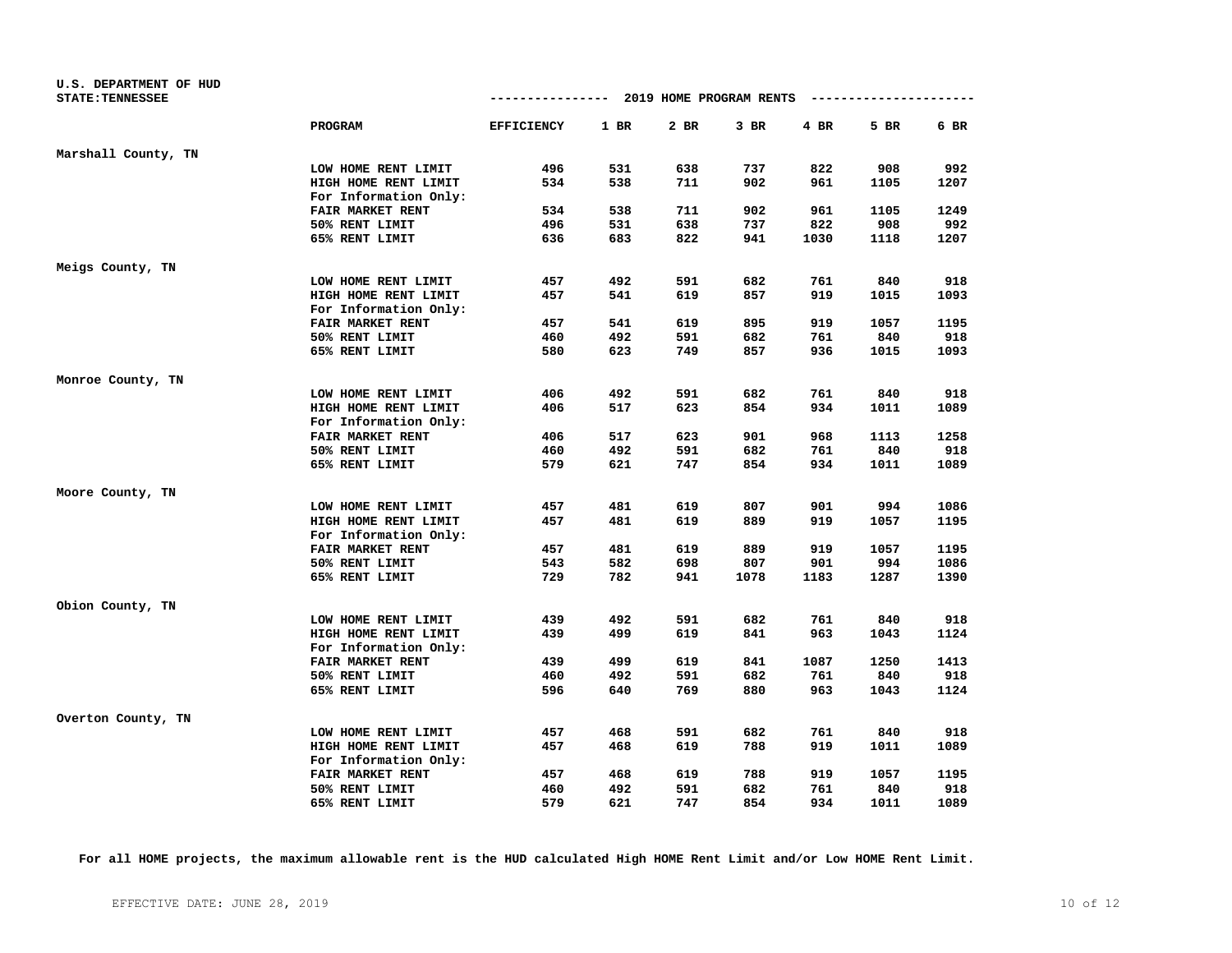| U.S. DEPARTMENT OF HUD  |                         |                                        |      |      |        |      |                        |      |
|-------------------------|-------------------------|----------------------------------------|------|------|--------|------|------------------------|------|
| <b>STATE: TENNESSEE</b> |                         | -------------- 2019 HOME PROGRAM RENTS |      |      |        |      | ---------------------- |      |
|                         | <b>PROGRAM</b>          | <b>EFFICIENCY</b>                      | 1 BR | 2 BR | $3$ BR | 4 BR | 5 BR                   | 6 BR |
| Marshall County, TN     |                         |                                        |      |      |        |      |                        |      |
|                         | LOW HOME RENT LIMIT     | 496                                    | 531  | 638  | 737    | 822  | 908                    | 992  |
|                         | HIGH HOME RENT LIMIT    | 534                                    | 538  | 711  | 902    | 961  | 1105                   | 1207 |
|                         | For Information Only:   |                                        |      |      |        |      |                        |      |
|                         | FAIR MARKET RENT        | 534                                    | 538  | 711  | 902    | 961  | 1105                   | 1249 |
|                         | 50% RENT LIMIT          | 496                                    | 531  | 638  | 737    | 822  | 908                    | 992  |
|                         | 65% RENT LIMIT          | 636                                    | 683  | 822  | 941    | 1030 | 1118                   | 1207 |
| Meigs County, TN        |                         |                                        |      |      |        |      |                        |      |
|                         | LOW HOME RENT LIMIT     | 457                                    | 492  | 591  | 682    | 761  | 840                    | 918  |
|                         | HIGH HOME RENT LIMIT    | 457                                    | 541  | 619  | 857    | 919  | 1015                   | 1093 |
|                         | For Information Only:   |                                        |      |      |        |      |                        |      |
|                         | FAIR MARKET RENT        | 457                                    | 541  | 619  | 895    | 919  | 1057                   | 1195 |
|                         | 50% RENT LIMIT          | 460                                    | 492  | 591  | 682    | 761  | 840                    | 918  |
|                         | 65% RENT LIMIT          | 580                                    | 623  | 749  | 857    | 936  | 1015                   | 1093 |
| Monroe County, TN       |                         |                                        |      |      |        |      |                        |      |
|                         | LOW HOME RENT LIMIT     | 406                                    | 492  | 591  | 682    | 761  | 840                    | 918  |
|                         | HIGH HOME RENT LIMIT    | 406                                    | 517  | 623  | 854    | 934  | 1011                   | 1089 |
|                         | For Information Only:   |                                        |      |      |        |      |                        |      |
|                         | <b>FAIR MARKET RENT</b> | 406                                    | 517  | 623  | 901    | 968  | 1113                   | 1258 |
|                         | 50% RENT LIMIT          | 460                                    | 492  | 591  | 682    | 761  | 840                    | 918  |
|                         | 65% RENT LIMIT          | 579                                    | 621  | 747  | 854    | 934  | 1011                   | 1089 |
| Moore County, TN        |                         |                                        |      |      |        |      |                        |      |
|                         | LOW HOME RENT LIMIT     | 457                                    | 481  | 619  | 807    | 901  | 994                    | 1086 |
|                         | HIGH HOME RENT LIMIT    | 457                                    | 481  | 619  | 889    | 919  | 1057                   | 1195 |
|                         | For Information Only:   |                                        |      |      |        |      |                        |      |
|                         | <b>FAIR MARKET RENT</b> | 457                                    | 481  | 619  | 889    | 919  | 1057                   | 1195 |
|                         | 50% RENT LIMIT          | 543                                    | 582  | 698  | 807    | 901  | 994                    | 1086 |
|                         | 65% RENT LIMIT          | 729                                    | 782  | 941  | 1078   | 1183 | 1287                   | 1390 |
| Obion County, TN        |                         |                                        |      |      |        |      |                        |      |
|                         | LOW HOME RENT LIMIT     | 439                                    | 492  | 591  | 682    | 761  | 840                    | 918  |
|                         | HIGH HOME RENT LIMIT    | 439                                    | 499  | 619  | 841    | 963  | 1043                   | 1124 |
|                         | For Information Only:   |                                        |      |      |        |      |                        |      |
|                         | FAIR MARKET RENT        | 439                                    | 499  | 619  | 841    | 1087 | 1250                   | 1413 |
|                         | 50% RENT LIMIT          | 460                                    | 492  | 591  | 682    | 761  | 840                    | 918  |
|                         | 65% RENT LIMIT          | 596                                    | 640  | 769  | 880    | 963  | 1043                   | 1124 |
| Overton County, TN      |                         |                                        |      |      |        |      |                        |      |
|                         | LOW HOME RENT LIMIT     | 457                                    | 468  | 591  | 682    | 761  | 840                    | 918  |
|                         | HIGH HOME RENT LIMIT    | 457                                    | 468  | 619  | 788    | 919  | 1011                   | 1089 |
|                         | For Information Only:   |                                        |      |      |        |      |                        |      |
|                         | FAIR MARKET RENT        | 457                                    | 468  | 619  | 788    | 919  | 1057                   | 1195 |
|                         | 50% RENT LIMIT          | 460                                    | 492  | 591  | 682    | 761  | 840                    | 918  |
|                         | 65% RENT LIMIT          | 579                                    | 621  | 747  | 854    | 934  | 1011                   | 1089 |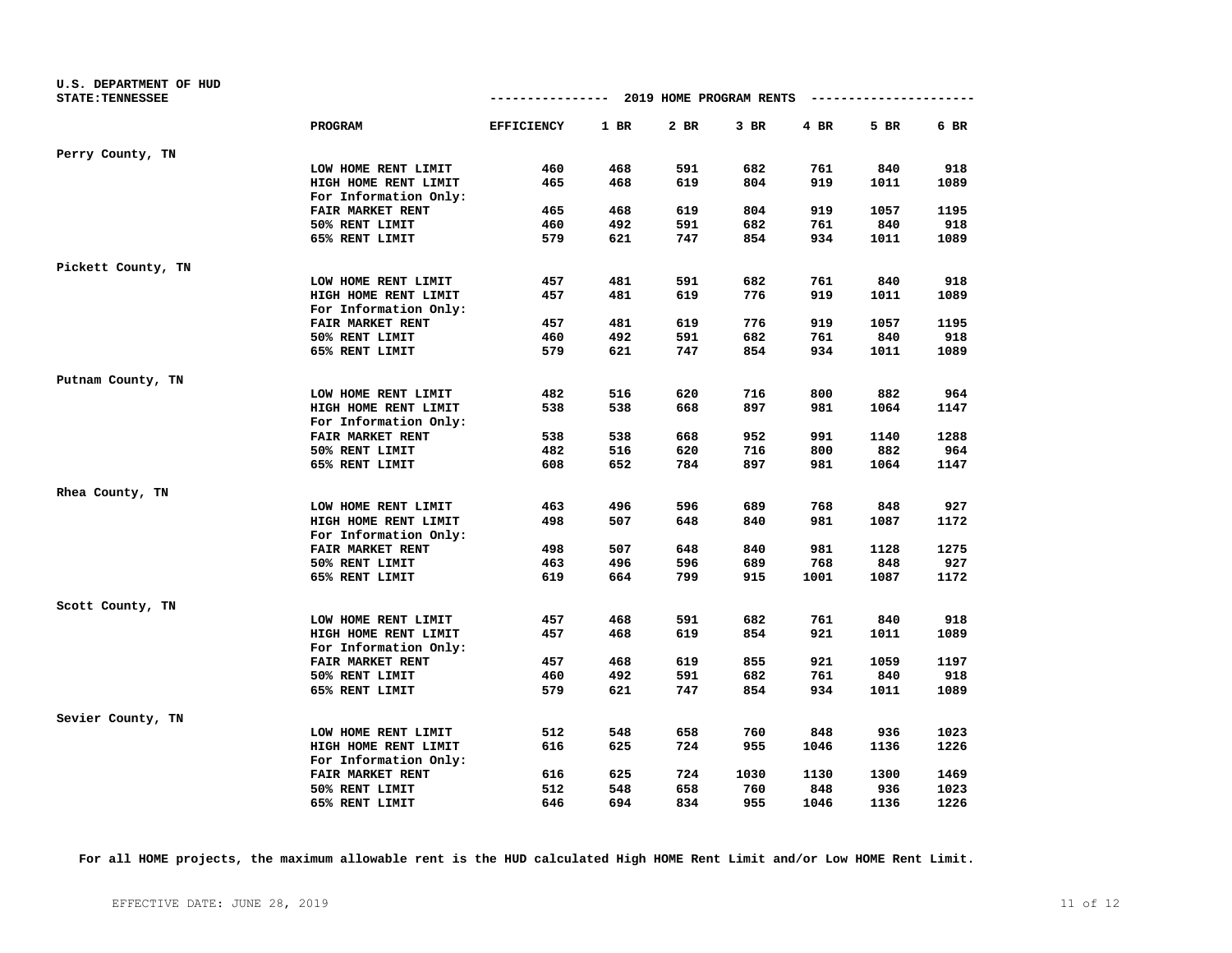| U.S. DEPARTMENT OF HUD  |                         | ------------- 2019 HOME PROGRAM RENTS |      |      |        |        | ---------------------- |      |
|-------------------------|-------------------------|---------------------------------------|------|------|--------|--------|------------------------|------|
| <b>STATE: TENNESSEE</b> |                         |                                       |      |      |        |        |                        |      |
|                         | PROGRAM                 | <b>EFFICIENCY</b>                     | 1 BR | 2 BR | $3$ BR | $4$ BR | 5 BR                   | 6 BR |
| Perry County, TN        |                         |                                       |      |      |        |        |                        |      |
|                         | LOW HOME RENT LIMIT     | 460                                   | 468  | 591  | 682    | 761    | 840                    | 918  |
|                         | HIGH HOME RENT LIMIT    | 465                                   | 468  | 619  | 804    | 919    | 1011                   | 1089 |
|                         | For Information Only:   |                                       |      |      |        |        |                        |      |
|                         | FAIR MARKET RENT        | 465                                   | 468  | 619  | 804    | 919    | 1057                   | 1195 |
|                         | 50% RENT LIMIT          | 460                                   | 492  | 591  | 682    | 761    | 840                    | 918  |
|                         | 65% RENT LIMIT          | 579                                   | 621  | 747  | 854    | 934    | 1011                   | 1089 |
| Pickett County, TN      |                         |                                       |      |      |        |        |                        |      |
|                         | LOW HOME RENT LIMIT     | 457                                   | 481  | 591  | 682    | 761    | 840                    | 918  |
|                         | HIGH HOME RENT LIMIT    | 457                                   | 481  | 619  | 776    | 919    | 1011                   | 1089 |
|                         | For Information Only:   |                                       |      |      |        |        |                        |      |
|                         | FAIR MARKET RENT        | 457                                   | 481  | 619  | 776    | 919    | 1057                   | 1195 |
|                         | 50% RENT LIMIT          | 460                                   | 492  | 591  | 682    | 761    | 840                    | 918  |
|                         | 65% RENT LIMIT          | 579                                   | 621  | 747  | 854    | 934    | 1011                   | 1089 |
| Putnam County, TN       |                         |                                       |      |      |        |        |                        |      |
|                         | LOW HOME RENT LIMIT     | 482                                   | 516  | 620  | 716    | 800    | 882                    | 964  |
|                         | HIGH HOME RENT LIMIT    | 538                                   | 538  | 668  | 897    | 981    | 1064                   | 1147 |
|                         | For Information Only:   |                                       |      |      |        |        |                        |      |
|                         | <b>FAIR MARKET RENT</b> | 538                                   | 538  | 668  | 952    | 991    | 1140                   | 1288 |
|                         | 50% RENT LIMIT          | 482                                   | 516  | 620  | 716    | 800    | 882                    | 964  |
|                         | 65% RENT LIMIT          | 608                                   | 652  | 784  | 897    | 981    | 1064                   | 1147 |
| Rhea County, TN         |                         |                                       |      |      |        |        |                        |      |
|                         | LOW HOME RENT LIMIT     | 463                                   | 496  | 596  | 689    | 768    | 848                    | 927  |
|                         | HIGH HOME RENT LIMIT    | 498                                   | 507  | 648  | 840    | 981    | 1087                   | 1172 |
|                         | For Information Only:   |                                       |      |      |        |        |                        |      |
|                         | <b>FAIR MARKET RENT</b> | 498                                   | 507  | 648  | 840    | 981    | 1128                   | 1275 |
|                         | 50% RENT LIMIT          | 463                                   | 496  | 596  | 689    | 768    | 848                    | 927  |
|                         | 65% RENT LIMIT          | 619                                   | 664  | 799  | 915    | 1001   | 1087                   | 1172 |
| Scott County, TN        |                         |                                       |      |      |        |        |                        |      |
|                         | LOW HOME RENT LIMIT     | 457                                   | 468  | 591  | 682    | 761    | 840                    | 918  |
|                         | HIGH HOME RENT LIMIT    | 457                                   | 468  | 619  | 854    | 921    | 1011                   | 1089 |
|                         | For Information Only:   |                                       |      |      |        |        |                        |      |
|                         | FAIR MARKET RENT        | 457                                   | 468  | 619  | 855    | 921    | 1059                   | 1197 |
|                         | 50% RENT LIMIT          | 460                                   | 492  | 591  | 682    | 761    | 840                    | 918  |
|                         | 65% RENT LIMIT          | 579                                   | 621  | 747  | 854    | 934    | 1011                   | 1089 |
| Sevier County, TN       |                         |                                       |      |      |        |        |                        |      |
|                         | LOW HOME RENT LIMIT     | 512                                   | 548  | 658  | 760    | 848    | 936                    | 1023 |
|                         | HIGH HOME RENT LIMIT    | 616                                   | 625  | 724  | 955    | 1046   | 1136                   | 1226 |
|                         | For Information Only:   |                                       |      |      |        |        |                        |      |
|                         | FAIR MARKET RENT        | 616                                   | 625  | 724  | 1030   | 1130   | 1300                   | 1469 |
|                         | 50% RENT LIMIT          | 512                                   | 548  | 658  | 760    | 848    | 936                    | 1023 |
|                         | 65% RENT LIMIT          | 646                                   | 694  | 834  | 955    | 1046   | 1136                   | 1226 |